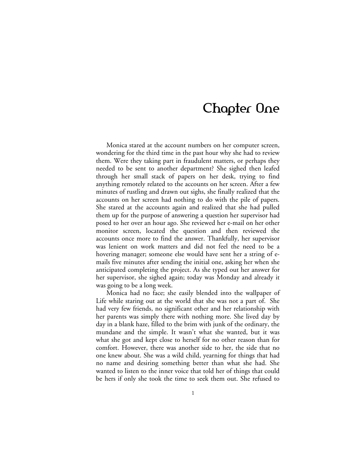# Chapter One

Monica stared at the account numbers on her computer screen, wondering for the third time in the past hour why she had to review them. Were they taking part in fraudulent matters, or perhaps they needed to be sent to another department? She sighed then leafed through her small stack of papers on her desk, trying to find anything remotely related to the accounts on her screen. After a few minutes of rustling and drawn out sighs, she finally realized that the accounts on her screen had nothing to do with the pile of papers. She stared at the accounts again and realized that she had pulled them up for the purpose of answering a question her supervisor had posed to her over an hour ago. She reviewed her e-mail on her other monitor screen, located the question and then reviewed the accounts once more to find the answer. Thankfully, her supervisor was lenient on work matters and did not feel the need to be a hovering manager; someone else would have sent her a string of emails five minutes after sending the initial one, asking her when she anticipated completing the project. As she typed out her answer for her supervisor, she sighed again; today was Monday and already it was going to be a long week.

Monica had no face; she easily blended into the wallpaper of Life while staring out at the world that she was not a part of. She had very few friends, no significant other and her relationship with her parents was simply there with nothing more. She lived day by day in a blank haze, filled to the brim with junk of the ordinary, the mundane and the simple. It wasn't what she wanted, but it was what she got and kept close to herself for no other reason than for comfort. However, there was another side to her, the side that no one knew about. She was a wild child, yearning for things that had no name and desiring something better than what she had. She wanted to listen to the inner voice that told her of things that could be hers if only she took the time to seek them out. She refused to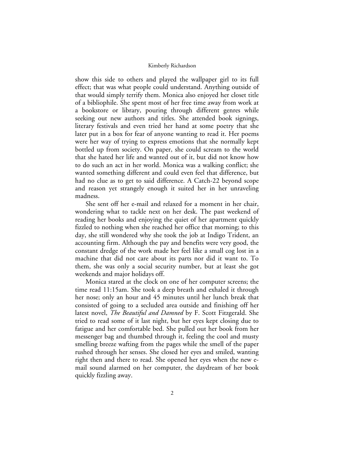show this side to others and played the wallpaper girl to its full effect; that was what people could understand. Anything outside of that would simply terrify them. Monica also enjoyed her closet title of a bibliophile. She spent most of her free time away from work at a bookstore or library, pouring through different genres while seeking out new authors and titles. She attended book signings, literary festivals and even tried her hand at some poetry that she later put in a box for fear of anyone wanting to read it. Her poems were her way of trying to express emotions that she normally kept bottled up from society. On paper, she could scream to the world that she hated her life and wanted out of it, but did not know how to do such an act in her world. Monica was a walking conflict; she wanted something different and could even feel that difference, but had no clue as to get to said difference. A Catch-22 beyond scope and reason yet strangely enough it suited her in her unraveling madness.

She sent off her e-mail and relaxed for a moment in her chair, wondering what to tackle next on her desk. The past weekend of reading her books and enjoying the quiet of her apartment quickly fizzled to nothing when she reached her office that morning; to this day, she still wondered why she took the job at Indigo Trident, an accounting firm. Although the pay and benefits were very good, the constant dredge of the work made her feel like a small cog lost in a machine that did not care about its parts nor did it want to. To them, she was only a social security number, but at least she got weekends and major holidays off.

Monica stared at the clock on one of her computer screens; the time read 11:15am. She took a deep breath and exhaled it through her nose; only an hour and 45 minutes until her lunch break that consisted of going to a secluded area outside and finishing off her latest novel, *The Beautiful and Damned* by F. Scott Fitzgerald. She tried to read some of it last night, but her eyes kept closing due to fatigue and her comfortable bed. She pulled out her book from her messenger bag and thumbed through it, feeling the cool and musty smelling breeze wafting from the pages while the smell of the paper rushed through her senses. She closed her eyes and smiled, wanting right then and there to read. She opened her eyes when the new email sound alarmed on her computer, the daydream of her book quickly fizzling away.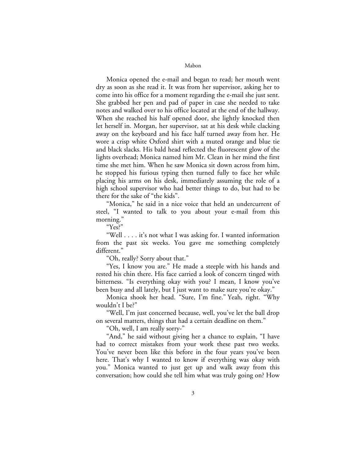Monica opened the e-mail and began to read; her mouth went dry as soon as she read it. It was from her supervisor, asking her to come into his office for a moment regarding the e-mail she just sent. She grabbed her pen and pad of paper in case she needed to take notes and walked over to his office located at the end of the hallway. When she reached his half opened door, she lightly knocked then let herself in. Morgan, her supervisor, sat at his desk while clacking away on the keyboard and his face half turned away from her. He wore a crisp white Oxford shirt with a muted orange and blue tie and black slacks. His bald head reflected the fluorescent glow of the lights overhead; Monica named him Mr. Clean in her mind the first time she met him. When he saw Monica sit down across from him, he stopped his furious typing then turned fully to face her while placing his arms on his desk, immediately assuming the role of a high school supervisor who had better things to do, but had to be there for the sake of "the kids".

"Monica," he said in a nice voice that held an undercurrent of steel, "I wanted to talk to you about your e-mail from this morning."

"Yes?"

"Well . . . . it's not what I was asking for. I wanted information from the past six weeks. You gave me something completely different."

"Oh, really? Sorry about that."

"Yes, I know you are." He made a steeple with his hands and rested his chin there. His face carried a look of concern tinged with bitterness. "Is everything okay with you? I mean, I know you've been busy and all lately, but I just want to make sure you're okay."

Monica shook her head. "Sure, I'm fine." Yeah, right. "Why wouldn't I be?"

"Well, I'm just concerned because, well, you've let the ball drop on several matters, things that had a certain deadline on them."

"Oh, well, I am really sorry-"

"And," he said without giving her a chance to explain, "I have had to correct mistakes from your work these past two weeks. You've never been like this before in the four years you've been here. That's why I wanted to know if everything was okay with you." Monica wanted to just get up and walk away from this conversation; how could she tell him what was truly going on? How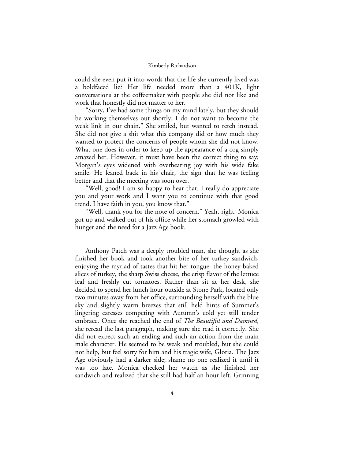could she even put it into words that the life she currently lived was a boldfaced lie? Her life needed more than a 401K, light conversations at the coffeemaker with people she did not like and work that honestly did not matter to her.

"Sorry, I've had some things on my mind lately, but they should be working themselves out shortly. I do not want to become the weak link in our chain." She smiled, but wanted to retch instead. She did not give a shit what this company did or how much they wanted to protect the concerns of people whom she did not know. What one does in order to keep up the appearance of a cog simply amazed her. However, it must have been the correct thing to say; Morgan's eyes widened with overbearing joy with his wide fake smile. He leaned back in his chair, the sign that he was feeling better and that the meeting was soon over.

"Well, good! I am so happy to hear that. I really do appreciate you and your work and I want you to continue with that good trend. I have faith in you, you know that."

"Well, thank you for the note of concern." Yeah, right. Monica got up and walked out of his office while her stomach growled with hunger and the need for a Jazz Age book.

Anthony Patch was a deeply troubled man, she thought as she finished her book and took another bite of her turkey sandwich, enjoying the myriad of tastes that hit her tongue: the honey baked slices of turkey, the sharp Swiss cheese, the crisp flavor of the lettuce leaf and freshly cut tomatoes. Rather than sit at her desk, she decided to spend her lunch hour outside at Stone Park, located only two minutes away from her office, surrounding herself with the blue sky and slightly warm breezes that still held hints of Summer's lingering caresses competing with Autumn's cold yet still tender embrace. Once she reached the end of *The Beautiful and Damned*, she reread the last paragraph, making sure she read it correctly. She did not expect such an ending and such an action from the main male character. He seemed to be weak and troubled, but she could not help, but feel sorry for him and his tragic wife, Gloria. The Jazz Age obviously had a darker side; shame no one realized it until it was too late. Monica checked her watch as she finished her sandwich and realized that she still had half an hour left. Grinning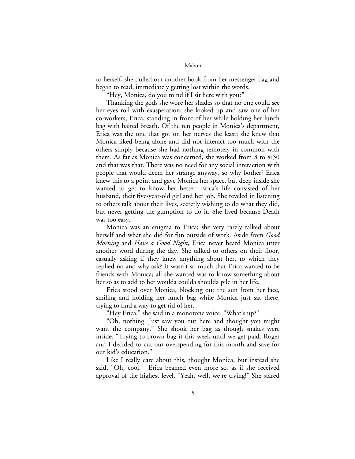to herself, she pulled out another book from her messenger bag and began to read, immediately getting lost within the words.

"Hey, Monica, do you mind if I sit here with you?"

Thanking the gods she wore her shades so that no one could see her eyes roll with exasperation, she looked up and saw one of her co-workers, Erica, standing in front of her while holding her lunch bag with baited breath. Of the ten people in Monica's department, Erica was the one that got on her nerves the least; she knew that Monica liked being alone and did not interact too much with the others simply because she had nothing remotely in common with them. As far as Monica was concerned, she worked from 8 to 4:30 and that was that. There was no need for any social interaction with people that would deem her strange anyway, so why bother? Erica knew this to a point and gave Monica her space, but deep inside she wanted to get to know her better. Erica's life consisted of her husband, their five-year-old girl and her job. She reveled in listening to others talk about their lives, secretly wishing to do what they did, but never getting the gumption to do it. She lived because Death was too easy.

Monica was an enigma to Erica; she very rarely talked about herself and what she did for fun outside of work. Aside from *Good Morning* and *Have a Good Night*, Erica never heard Monica utter another word during the day. She talked to others on their floor, casually asking if they knew anything about her, to which they replied no and why ask? It wasn't so much that Erica wanted to be friends with Monica; all she wanted was to know something about her so as to add to her woulda coulda shoulda pile in her life.

Erica stood over Monica, blocking out the sun from her face, smiling and holding her lunch bag while Monica just sat there, trying to find a way to get rid of her.

"Hey Erica," she said in a monotone voice. "What's up?"

"Oh, nothing. Just saw you out here and thought you might want the company." She shook her bag as though snakes were inside. "Trying to brown bag it this week until we get paid. Roger and I decided to cut our overspending for this month and save for our kid's education."

Like I really care about this, thought Monica, but instead she said, "Oh, cool." Erica beamed even more so, as if she received approval of the highest level. "Yeah, well, we're trying!" She stared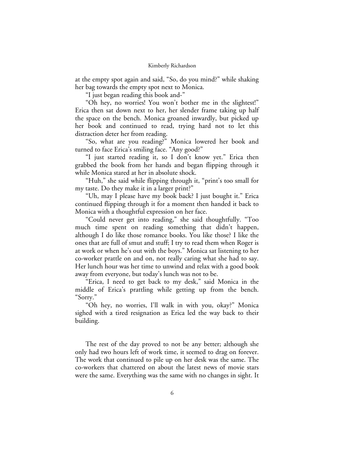at the empty spot again and said, "So, do you mind?" while shaking her bag towards the empty spot next to Monica.

"I just began reading this book and-"

"Oh hey, no worries! You won't bother me in the slightest!" Erica then sat down next to her, her slender frame taking up half the space on the bench. Monica groaned inwardly, but picked up her book and continued to read, trying hard not to let this distraction deter her from reading.

"So, what are you reading?" Monica lowered her book and turned to face Erica's smiling face. "Any good?"

"I just started reading it, so I don't know yet." Erica then grabbed the book from her hands and began flipping through it while Monica stared at her in absolute shock.

"Huh," she said while flipping through it, "print's too small for my taste. Do they make it in a larger print?"

"Uh, may I please have my book back? I just bought it." Erica continued flipping through it for a moment then handed it back to Monica with a thoughtful expression on her face.

"Could never get into reading," she said thoughtfully. "Too much time spent on reading something that didn't happen, although I do like those romance books. You like those? I like the ones that are full of smut and stuff; I try to read them when Roger is at work or when he's out with the boys." Monica sat listening to her co-worker prattle on and on, not really caring what she had to say. Her lunch hour was her time to unwind and relax with a good book away from everyone, but today's lunch was not to be.

"Erica, I need to get back to my desk," said Monica in the middle of Erica's prattling while getting up from the bench. "Sorry."

"Oh hey, no worries, I'll walk in with you, okay?" Monica sighed with a tired resignation as Erica led the way back to their building.

The rest of the day proved to not be any better; although she only had two hours left of work time, it seemed to drag on forever. The work that continued to pile up on her desk was the same. The co-workers that chattered on about the latest news of movie stars were the same. Everything was the same with no changes in sight. It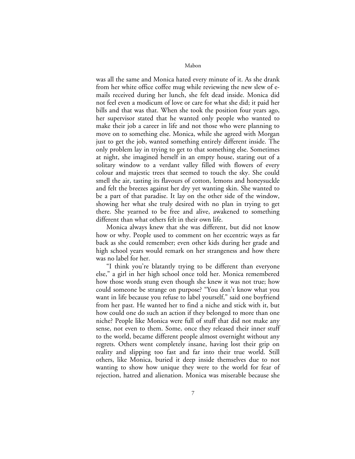was all the same and Monica hated every minute of it. As she drank from her white office coffee mug while reviewing the new slew of emails received during her lunch, she felt dead inside. Monica did not feel even a modicum of love or care for what she did; it paid her bills and that was that. When she took the position four years ago, her supervisor stated that he wanted only people who wanted to make their job a career in life and not those who were planning to move on to something else. Monica, while she agreed with Morgan just to get the job, wanted something entirely different inside. The only problem lay in trying to get to that something else. Sometimes at night, she imagined herself in an empty house, staring out of a solitary window to a verdant valley filled with flowers of every colour and majestic trees that seemed to touch the sky. She could smell the air, tasting its flavours of cotton, lemons and honeysuckle and felt the breezes against her dry yet wanting skin. She wanted to be a part of that paradise. It lay on the other side of the window, showing her what she truly desired with no plan in trying to get there. She yearned to be free and alive, awakened to something different than what others felt in their own life.

Monica always knew that she was different, but did not know how or why. People used to comment on her eccentric ways as far back as she could remember; even other kids during her grade and high school years would remark on her strangeness and how there was no label for her.

"I think you're blatantly trying to be different than everyone else," a girl in her high school once told her. Monica remembered how those words stung even though she knew it was not true; how could someone be strange on purpose? "You don't know what you want in life because you refuse to label yourself," said one boyfriend from her past. He wanted her to find a niche and stick with it, but how could one do such an action if they belonged to more than one niche? People like Monica were full of stuff that did not make any sense, not even to them. Some, once they released their inner stuff to the world, became different people almost overnight without any regrets. Others went completely insane, having lost their grip on reality and slipping too fast and far into their true world. Still others, like Monica, buried it deep inside themselves due to not wanting to show how unique they were to the world for fear of rejection, hatred and alienation. Monica was miserable because she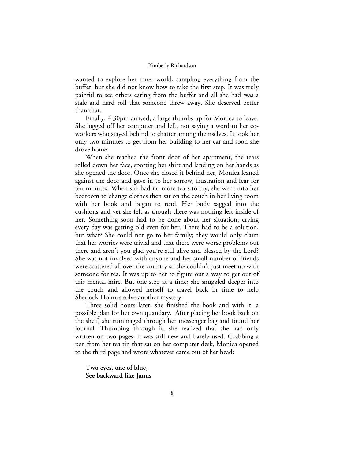wanted to explore her inner world, sampling everything from the buffet, but she did not know how to take the first step. It was truly painful to see others eating from the buffet and all she had was a stale and hard roll that someone threw away. She deserved better than that.

Finally, 4:30pm arrived, a large thumbs up for Monica to leave. She logged off her computer and left, not saying a word to her coworkers who stayed behind to chatter among themselves. It took her only two minutes to get from her building to her car and soon she drove home.

When she reached the front door of her apartment, the tears rolled down her face, spotting her shirt and landing on her hands as she opened the door. Once she closed it behind her, Monica leaned against the door and gave in to her sorrow, frustration and fear for ten minutes. When she had no more tears to cry, she went into her bedroom to change clothes then sat on the couch in her living room with her book and began to read. Her body sagged into the cushions and yet she felt as though there was nothing left inside of her. Something soon had to be done about her situation; crying every day was getting old even for her. There had to be a solution, but what? She could not go to her family; they would only claim that her worries were trivial and that there were worse problems out there and aren't you glad you're still alive and blessed by the Lord? She was not involved with anyone and her small number of friends were scattered all over the country so she couldn't just meet up with someone for tea. It was up to her to figure out a way to get out of this mental mire. But one step at a time; she snuggled deeper into the couch and allowed herself to travel back in time to help Sherlock Holmes solve another mystery.

Three solid hours later, she finished the book and with it, a possible plan for her own quandary. After placing her book back on the shelf, she rummaged through her messenger bag and found her journal. Thumbing through it, she realized that she had only written on two pages; it was still new and barely used. Grabbing a pen from her tea tin that sat on her computer desk, Monica opened to the third page and wrote whatever came out of her head:

**Two eyes, one of blue, See backward like Janus**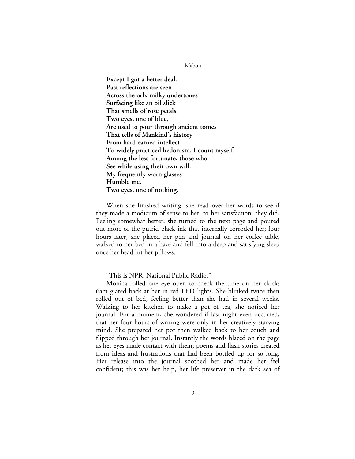**Except I got a better deal. Past reflections are seen Across the orb, milky undertones Surfacing like an oil slick That smells of rose petals. Two eyes, one of blue, Are used to pour through ancient tomes That tells of Mankind's history From hard earned intellect To widely practiced hedonism. I count myself Among the less fortunate, those who See while using their own will. My frequently worn glasses Humble me. Two eyes, one of nothing.** 

When she finished writing, she read over her words to see if they made a modicum of sense to her; to her satisfaction, they did. Feeling somewhat better, she turned to the next page and poured out more of the putrid black ink that internally corroded her; four hours later, she placed her pen and journal on her coffee table, walked to her bed in a haze and fell into a deep and satisfying sleep once her head hit her pillows.

"This is NPR, National Public Radio."

Monica rolled one eye open to check the time on her clock; 6am glared back at her in red LED lights. She blinked twice then rolled out of bed, feeling better than she had in several weeks. Walking to her kitchen to make a pot of tea, she noticed her journal. For a moment, she wondered if last night even occurred, that her four hours of writing were only in her creatively starving mind. She prepared her pot then walked back to her couch and flipped through her journal. Instantly the words blazed on the page as her eyes made contact with them; poems and flash stories created from ideas and frustrations that had been bottled up for so long. Her release into the journal soothed her and made her feel confident; this was her help, her life preserver in the dark sea of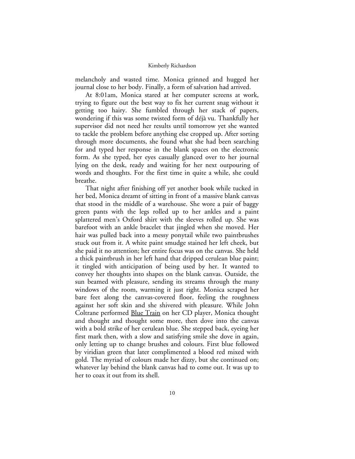melancholy and wasted time. Monica grinned and hugged her journal close to her body. Finally, a form of salvation had arrived.

At 8:01am, Monica stared at her computer screens at work, trying to figure out the best way to fix her current snag without it getting too hairy. She fumbled through her stack of papers, wondering if this was some twisted form of déjà vu. Thankfully her supervisor did not need her results until tomorrow yet she wanted to tackle the problem before anything else cropped up. After sorting through more documents, she found what she had been searching for and typed her response in the blank spaces on the electronic form. As she typed, her eyes casually glanced over to her journal lying on the desk, ready and waiting for her next outpouring of words and thoughts. For the first time in quite a while, she could breathe.

That night after finishing off yet another book while tucked in her bed, Monica dreamt of sitting in front of a massive blank canvas that stood in the middle of a warehouse. She wore a pair of baggy green pants with the legs rolled up to her ankles and a paint splattered men's Oxford shirt with the sleeves rolled up. She was barefoot with an ankle bracelet that jingled when she moved. Her hair was pulled back into a messy ponytail while two paintbrushes stuck out from it. A white paint smudge stained her left cheek, but she paid it no attention; her entire focus was on the canvas. She held a thick paintbrush in her left hand that dripped cerulean blue paint; it tingled with anticipation of being used by her. It wanted to convey her thoughts into shapes on the blank canvas. Outside, the sun beamed with pleasure, sending its streams through the many windows of the room, warming it just right. Monica scraped her bare feet along the canvas-covered floor, feeling the roughness against her soft skin and she shivered with pleasure. While John Coltrane performed <u>Blue Train</u> on her CD player, Monica thought and thought and thought some more, then dove into the canvas with a bold strike of her cerulean blue. She stepped back, eyeing her first mark then, with a slow and satisfying smile she dove in again, only letting up to change brushes and colours. First blue followed by viridian green that later complimented a blood red mixed with gold. The myriad of colours made her dizzy, but she continued on; whatever lay behind the blank canvas had to come out. It was up to her to coax it out from its shell.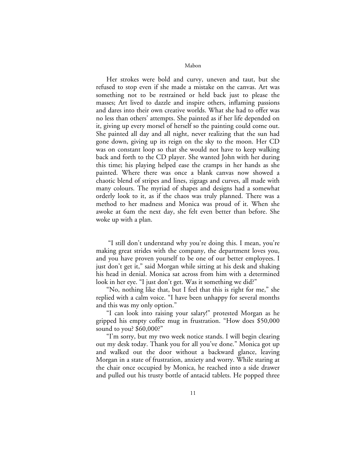Her strokes were bold and curvy, uneven and taut, but she refused to stop even if she made a mistake on the canvas. Art was something not to be restrained or held back just to please the masses; Art lived to dazzle and inspire others, inflaming passions and dares into their own creative worlds. What she had to offer was no less than others' attempts. She painted as if her life depended on it, giving up every morsel of herself so the painting could come out. She painted all day and all night, never realizing that the sun had gone down, giving up its reign on the sky to the moon. Her CD was on constant loop so that she would not have to keep walking back and forth to the CD player. She wanted John with her during this time; his playing helped ease the cramps in her hands as she painted. Where there was once a blank canvas now showed a chaotic blend of stripes and lines, zigzags and curves, all made with many colours. The myriad of shapes and designs had a somewhat orderly look to it, as if the chaos was truly planned. There was a method to her madness and Monica was proud of it. When she awoke at 6am the next day, she felt even better than before. She woke up with a plan.

 "I still don't understand why you're doing this. I mean, you're making great strides with the company, the department loves you, and you have proven yourself to be one of our better employees. I just don't get it," said Morgan while sitting at his desk and shaking his head in denial. Monica sat across from him with a determined look in her eye. "I just don't get. Was it something we did?"

"No, nothing like that, but I feel that this is right for me," she replied with a calm voice. "I have been unhappy for several months and this was my only option."

"I can look into raising your salary!" protested Morgan as he gripped his empty coffee mug in frustration. "How does \$50,000 sound to you? \$60,000?"

"I'm sorry, but my two week notice stands. I will begin clearing out my desk today. Thank you for all you've done." Monica got up and walked out the door without a backward glance, leaving Morgan in a state of frustration, anxiety and worry. While staring at the chair once occupied by Monica, he reached into a side drawer and pulled out his trusty bottle of antacid tablets. He popped three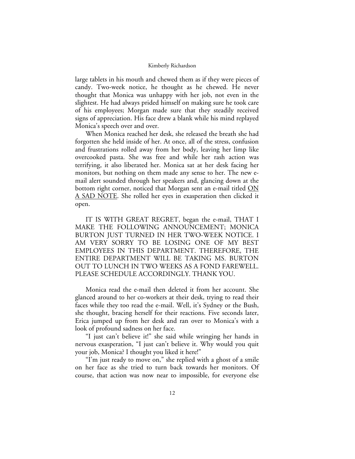large tablets in his mouth and chewed them as if they were pieces of candy. Two-week notice, he thought as he chewed. He never thought that Monica was unhappy with her job, not even in the slightest. He had always prided himself on making sure he took care of his employees; Morgan made sure that they steadily received signs of appreciation. His face drew a blank while his mind replayed Monica's speech over and over.

When Monica reached her desk, she released the breath she had forgotten she held inside of her. At once, all of the stress, confusion and frustrations rolled away from her body, leaving her limp like overcooked pasta. She was free and while her rash action was terrifying, it also liberated her. Monica sat at her desk facing her monitors, but nothing on them made any sense to her. The new email alert sounded through her speakers and, glancing down at the bottom right corner, noticed that Morgan sent an e-mail titled ON A SAD NOTE. She rolled her eyes in exasperation then clicked it open.

IT IS WITH GREAT REGRET, began the e-mail, THAT I MAKE THE FOLLOWING ANNOUNCEMENT; MONICA BURTON JUST TURNED IN HER TWO-WEEK NOTICE. I AM VERY SORRY TO BE LOSING ONE OF MY BEST EMPLOYEES IN THIS DEPARTMENT. THEREFORE, THE ENTIRE DEPARTMENT WILL BE TAKING MS. BURTON OUT TO LUNCH IN TWO WEEKS AS A FOND FAREWELL. PLEASE SCHEDULE ACCORDINGLY. THANK YOU.

Monica read the e-mail then deleted it from her account. She glanced around to her co-workers at their desk, trying to read their faces while they too read the e-mail. Well, it's Sydney or the Bush, she thought, bracing herself for their reactions. Five seconds later, Erica jumped up from her desk and ran over to Monica's with a look of profound sadness on her face.

"I just can't believe it!" she said while wringing her hands in nervous exasperation, "I just can't believe it. Why would you quit your job, Monica? I thought you liked it here!"

"I'm just ready to move on," she replied with a ghost of a smile on her face as she tried to turn back towards her monitors. Of course, that action was now near to impossible, for everyone else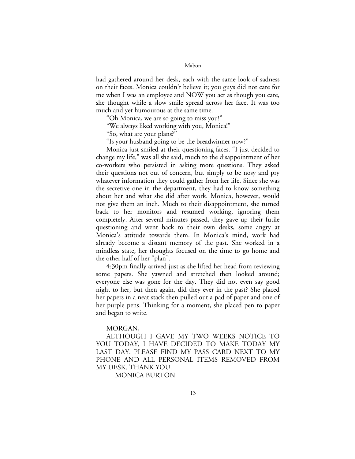had gathered around her desk, each with the same look of sadness on their faces. Monica couldn't believe it; you guys did not care for me when I was an employee and NOW you act as though you care, she thought while a slow smile spread across her face. It was too much and yet humourous at the same time.

"Oh Monica, we are so going to miss you!"

"We always liked working with you, Monica!"

"So, what are your plans?"

"Is your husband going to be the breadwinner now?"

Monica just smiled at their questioning faces. "I just decided to change my life," was all she said, much to the disappointment of her co-workers who persisted in asking more questions. They asked their questions not out of concern, but simply to be nosy and pry whatever information they could gather from her life. Since she was the secretive one in the department, they had to know something about her and what she did after work. Monica, however, would not give them an inch. Much to their disappointment, she turned back to her monitors and resumed working, ignoring them completely. After several minutes passed, they gave up their futile questioning and went back to their own desks, some angry at Monica's attitude towards them. In Monica's mind, work had already become a distant memory of the past. She worked in a mindless state, her thoughts focused on the time to go home and the other half of her "plan".

4:30pm finally arrived just as she lifted her head from reviewing some papers. She yawned and stretched then looked around; everyone else was gone for the day. They did not even say good night to her, but then again, did they ever in the past? She placed her papers in a neat stack then pulled out a pad of paper and one of her purple pens. Thinking for a moment, she placed pen to paper and began to write.

# MORGAN,

ALTHOUGH I GAVE MY TWO WEEKS NOTICE TO YOU TODAY, I HAVE DECIDED TO MAKE TODAY MY LAST DAY. PLEASE FIND MY PASS CARD NEXT TO MY PHONE AND ALL PERSONAL ITEMS REMOVED FROM MY DESK. THANK YOU.

MONICA BURTON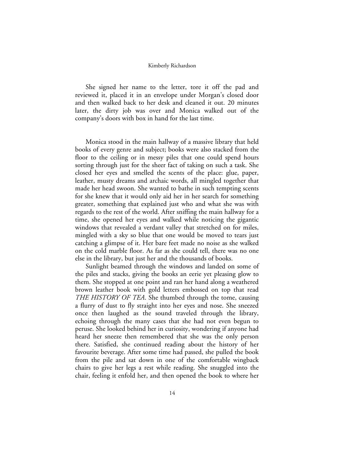She signed her name to the letter, tore it off the pad and reviewed it, placed it in an envelope under Morgan's closed door and then walked back to her desk and cleaned it out. 20 minutes later, the dirty job was over and Monica walked out of the company's doors with box in hand for the last time.

Monica stood in the main hallway of a massive library that held books of every genre and subject; books were also stacked from the floor to the ceiling or in messy piles that one could spend hours sorting through just for the sheer fact of taking on such a task. She closed her eyes and smelled the scents of the place: glue, paper, leather, musty dreams and archaic words, all mingled together that made her head swoon. She wanted to bathe in such tempting scents for she knew that it would only aid her in her search for something greater, something that explained just who and what she was with regards to the rest of the world. After sniffing the main hallway for a time, she opened her eyes and walked while noticing the gigantic windows that revealed a verdant valley that stretched on for miles, mingled with a sky so blue that one would be moved to tears just catching a glimpse of it. Her bare feet made no noise as she walked on the cold marble floor. As far as she could tell, there was no one else in the library, but just her and the thousands of books.

Sunlight beamed through the windows and landed on some of the piles and stacks, giving the books an eerie yet pleasing glow to them. She stopped at one point and ran her hand along a weathered brown leather book with gold letters embossed on top that read *THE HISTORY OF TEA*. She thumbed through the tome, causing a flurry of dust to fly straight into her eyes and nose. She sneezed once then laughed as the sound traveled through the library, echoing through the many cases that she had not even begun to peruse. She looked behind her in curiosity, wondering if anyone had heard her sneeze then remembered that she was the only person there. Satisfied, she continued reading about the history of her favourite beverage. After some time had passed, she pulled the book from the pile and sat down in one of the comfortable wingback chairs to give her legs a rest while reading. She snuggled into the chair, feeling it enfold her, and then opened the book to where her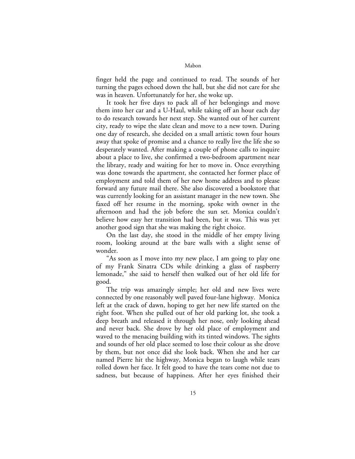finger held the page and continued to read. The sounds of her turning the pages echoed down the hall, but she did not care for she was in heaven. Unfortunately for her, she woke up.

It took her five days to pack all of her belongings and move them into her car and a U-Haul, while taking off an hour each day to do research towards her next step. She wanted out of her current city, ready to wipe the slate clean and move to a new town. During one day of research, she decided on a small artistic town four hours away that spoke of promise and a chance to really live the life she so desperately wanted. After making a couple of phone calls to inquire about a place to live, she confirmed a two-bedroom apartment near the library, ready and waiting for her to move in. Once everything was done towards the apartment, she contacted her former place of employment and told them of her new home address and to please forward any future mail there. She also discovered a bookstore that was currently looking for an assistant manager in the new town. She faxed off her resume in the morning, spoke with owner in the afternoon and had the job before the sun set. Monica couldn't believe how easy her transition had been, but it was. This was yet another good sign that she was making the right choice.

On the last day, she stood in the middle of her empty living room, looking around at the bare walls with a slight sense of wonder.

"As soon as I move into my new place, I am going to play one of my Frank Sinatra CDs while drinking a glass of raspberry lemonade," she said to herself then walked out of her old life for good.

The trip was amazingly simple; her old and new lives were connected by one reasonably well paved four-lane highway. Monica left at the crack of dawn, hoping to get her new life started on the right foot. When she pulled out of her old parking lot, she took a deep breath and released it through her nose, only looking ahead and never back. She drove by her old place of employment and waved to the menacing building with its tinted windows. The sights and sounds of her old place seemed to lose their colour as she drove by them, but not once did she look back. When she and her car named Pierre hit the highway, Monica began to laugh while tears rolled down her face. It felt good to have the tears come not due to sadness, but because of happiness. After her eyes finished their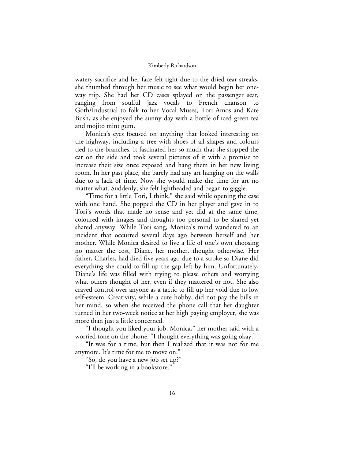watery sacrifice and her face felt tight due to the dried tear streaks, she thumbed through her music to see what would begin her oneway trip. She had her CD cases splayed on the passenger seat, ranging from soulful jazz vocals to French chanson to Goth/Industrial to folk to her Vocal Muses, Tori Amos and Kate Bush, as she enjoyed the sunny day with a bottle of iced green tea and mojito mint gum.

Monica's eyes focused on anything that looked interesting on the highway, including a tree with shoes of all shapes and colours tied to the branches. It fascinated her so much that she stopped the car on the side and took several pictures of it with a promise to increase their size once exposed and hang them in her new living room. In her past place, she barely had any art hanging on the walls due to a lack of time. Now she would make the time for art no matter what. Suddenly, she felt lightheaded and began to giggle.

"Time for a little Tori, I think," she said while opening the case with one hand. She popped the CD in her player and gave in to Tori's words that made no sense and yet did at the same time, coloured with images and thoughts too personal to be shared yet shared anyway. While Tori sang, Monica's mind wandered to an incident that occurred several days ago between herself and her mother. While Monica desired to live a life of one's own choosing no matter the cost, Diane, her mother, thought otherwise. Her father, Charles, had died five years ago due to a stroke so Diane did everything she could to fill up the gap left by him. Unfortunately, Diane's life was filled with trying to please others and worrying what others thought of her, even if they mattered or not. She also craved control over anyone as a tactic to fill up her void due to low self-esteem. Creativity, while a cute hobby, did not pay the bills in her mind, so when she received the phone call that her daughter turned in her two-week notice at her high paying employer, she was more than just a little concerned.

"I thought you liked your job, Monica," her mother said with a worried tone on the phone. "I thought everything was going okay."

"It was for a time, but then I realized that it was not for me anymore. It's time for me to move on."

"So, do you have a new job set up?"

"I'll be working in a bookstore."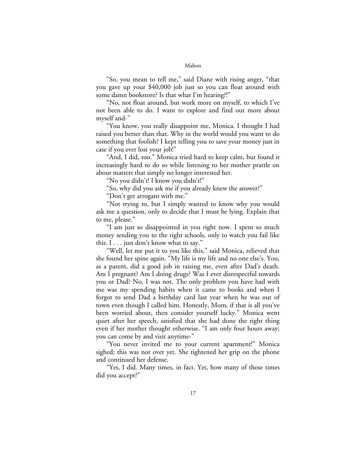"So, you mean to tell me," said Diane with rising anger, "that you gave up your \$40,000 job just so you can float around with some damn bookstore? Is that what I'm hearing?!"

"No, not float around, but work more on myself, to which I've not been able to do. I want to explore and find out more about myself and-"

"You know, you really disappoint me, Monica. I thought I had raised you better than that. Why in the world would you want to do something that foolish? I kept telling you to save your money just in case if you ever lost your job!"

"And, I did, too." Monica tried hard to keep calm, but found it increasingly hard to do so while listening to her mother prattle on about matters that simply no longer interested her.

"No you didn't! I know you didn't!"

"So, why did you ask me if you already knew the answer?"

"Don't get arrogant with me."

"Not trying to, but I simply wanted to know why you would ask me a question, only to decide that I must be lying. Explain that to me, please."

"I am just so disappointed in you right now. I spent so much money sending you to the right schools, only to watch you fail like this. I . . . just don't know what to say."

"Well, let me put it to you like this," said Monica, relieved that she found her spine again. "My life is my life and no one else's. You, as a parent, did a good job in raising me, even after Dad's death. Am I pregnant? Am I doing drugs? Was I ever disrespectful towards you or Dad? No, I was not. The only problem you have had with me was my spending habits when it came to books and when I forgot to send Dad a birthday card last year when he was out of town even though I called him. Honestly, Mom, if that is all you've been worried about, then consider yourself lucky." Monica went quiet after her speech, satisfied that she had done the right thing even if her mother thought otherwise. "I am only four hours away; you can come by and visit anytime-"

"You never invited me to your current apartment!" Monica sighed; this was not over yet. She tightened her grip on the phone and continued her defense.

"Yes, I did. Many times, in fact. Yet, how many of those times did you accept?"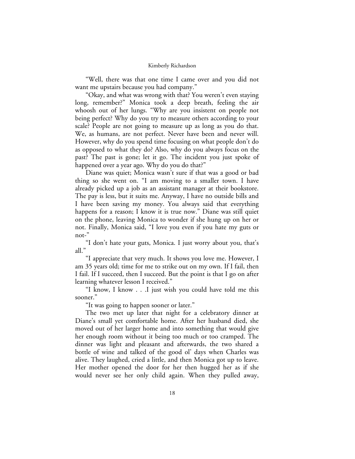"Well, there was that one time I came over and you did not want me upstairs because you had company."

"Okay, and what was wrong with that? You weren't even staying long, remember?" Monica took a deep breath, feeling the air whoosh out of her lungs. "Why are you insistent on people not being perfect? Why do you try to measure others according to your scale? People are not going to measure up as long as you do that. We, as humans, are not perfect. Never have been and never will. However, why do you spend time focusing on what people don't do as opposed to what they do? Also, why do you always focus on the past? The past is gone; let it go. The incident you just spoke of happened over a year ago. Why do you do that?"

Diane was quiet; Monica wasn't sure if that was a good or bad thing so she went on. "I am moving to a smaller town. I have already picked up a job as an assistant manager at their bookstore. The pay is less, but it suits me. Anyway, I have no outside bills and I have been saving my money. You always said that everything happens for a reason; I know it is true now." Diane was still quiet on the phone, leaving Monica to wonder if she hung up on her or not. Finally, Monica said, "I love you even if you hate my guts or not-"

"I don't hate your guts, Monica. I just worry about you, that's all."

"I appreciate that very much. It shows you love me. However, I am 35 years old; time for me to strike out on my own. If I fail, then I fail. If I succeed, then I succeed. But the point is that I go on after learning whatever lesson I received."

"I know, I know . . .I just wish you could have told me this sooner."

"It was going to happen sooner or later."

The two met up later that night for a celebratory dinner at Diane's small yet comfortable home. After her husband died, she moved out of her larger home and into something that would give her enough room without it being too much or too cramped. The dinner was light and pleasant and afterwards, the two shared a bottle of wine and talked of the good ol' days when Charles was alive. They laughed, cried a little, and then Monica got up to leave. Her mother opened the door for her then hugged her as if she would never see her only child again. When they pulled away,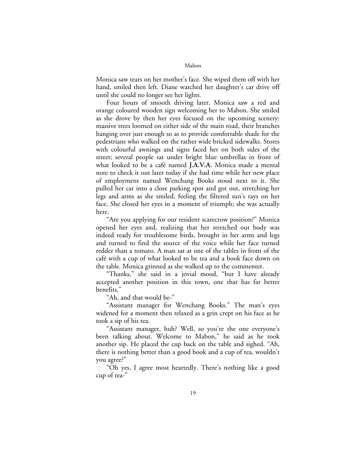Monica saw tears on her mother's face. She wiped them off with her hand, smiled then left. Diane watched her daughter's car drive off until she could no longer see her lights.

Four hours of smooth driving later, Monica saw a red and orange coloured wooden sign welcoming her to Mabon. She smiled as she drove by then her eyes focused on the upcoming scenery: massive trees loomed on either side of the main road, their branches hanging over just enough so as to provide comfortable shade for the pedestrians who walked on the rather wide bricked sidewalks. Stores with colourful awnings and signs faced her on both sides of the street; several people sat under bright blue umbrellas in front of what looked to be a café named **J.A.V.A.** Monica made a mental note to check it out later today if she had time while her new place of employment named Wenchang Books stood next to it. She pulled her car into a close parking spot and got out, stretching her legs and arms as she smiled, feeling the filtered sun's rays on her face. She closed her eyes in a moment of triumph; she was actually here.

"Are you applying for our resident scarecrow position?" Monica opened her eyes and, realizing that her stretched out body was indeed ready for troublesome birds, brought in her arms and legs and turned to find the source of the voice while her face turned redder than a tomato. A man sat at one of the tables in front of the café with a cup of what looked to be tea and a book face down on the table. Monica grinned as she walked up to the commenter.

"Thanks," she said in a jovial mood, "but I have already accepted another position in this town, one that has far better benefits."

"Ah, and that would be-"

"Assistant manager for Wenchang Books." The man's eyes widened for a moment then relaxed as a grin crept on his face as he took a sip of his tea.

"Assistant manager, huh? Well, so you're the one everyone's been talking about. Welcome to Mabon," he said as he took another sip. He placed the cup back on the table and sighed. "Ah, there is nothing better than a good book and a cup of tea, wouldn't you agree?"

"Oh yes, I agree most heartedly. There's nothing like a good cup of tea-"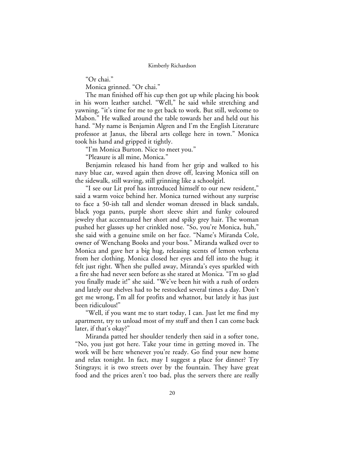"Or chai."

Monica grinned. "Or chai."

The man finished off his cup then got up while placing his book in his worn leather satchel. "Well," he said while stretching and yawning, "it's time for me to get back to work. But still, welcome to Mabon." He walked around the table towards her and held out his hand. "My name is Benjamin Algren and I'm the English Literature professor at Janus, the liberal arts college here in town." Monica took his hand and gripped it tightly.

"I'm Monica Burton. Nice to meet you."

"Pleasure is all mine, Monica."

Benjamin released his hand from her grip and walked to his navy blue car, waved again then drove off, leaving Monica still on the sidewalk, still waving, still grinning like a schoolgirl.

"I see our Lit prof has introduced himself to our new resident," said a warm voice behind her. Monica turned without any surprise to face a 50-ish tall and slender woman dressed in black sandals, black yoga pants, purple short sleeve shirt and funky coloured jewelry that accentuated her short and spiky grey hair. The woman pushed her glasses up her crinkled nose. "So, you're Monica, huh," she said with a genuine smile on her face. "Name's Miranda Cole, owner of Wenchang Books and your boss." Miranda walked over to Monica and gave her a big hug, releasing scents of lemon verbena from her clothing. Monica closed her eyes and fell into the hug; it felt just right. When she pulled away, Miranda's eyes sparkled with a fire she had never seen before as she stared at Monica. "I'm so glad you finally made it!" she said. "We've been hit with a rush of orders and lately our shelves had to be restocked several times a day. Don't get me wrong, I'm all for profits and whatnot, but lately it has just been ridiculous!"

"Well, if you want me to start today, I can. Just let me find my apartment, try to unload most of my stuff and then I can come back later, if that's okay?"

Miranda patted her shoulder tenderly then said in a softer tone, "No, you just got here. Take your time in getting moved in. The work will be here whenever you're ready. Go find your new home and relax tonight. In fact, may I suggest a place for dinner? Try Stingrays; it is two streets over by the fountain. They have great food and the prices aren't too bad, plus the servers there are really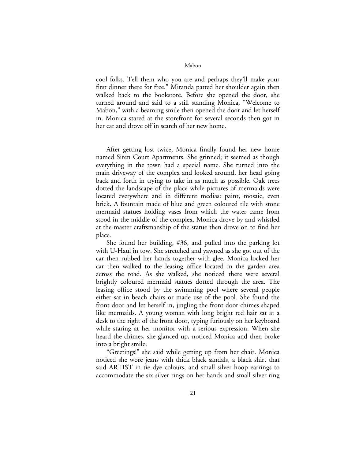cool folks. Tell them who you are and perhaps they'll make your first dinner there for free." Miranda patted her shoulder again then walked back to the bookstore. Before she opened the door, she turned around and said to a still standing Monica, "Welcome to Mabon," with a beaming smile then opened the door and let herself in. Monica stared at the storefront for several seconds then got in her car and drove off in search of her new home.

After getting lost twice, Monica finally found her new home named Siren Court Apartments. She grinned; it seemed as though everything in the town had a special name. She turned into the main driveway of the complex and looked around, her head going back and forth in trying to take in as much as possible. Oak trees dotted the landscape of the place while pictures of mermaids were located everywhere and in different medias: paint, mosaic, even brick. A fountain made of blue and green coloured tile with stone mermaid statues holding vases from which the water came from stood in the middle of the complex. Monica drove by and whistled at the master craftsmanship of the statue then drove on to find her place.

She found her building, #36, and pulled into the parking lot with U-Haul in tow. She stretched and yawned as she got out of the car then rubbed her hands together with glee. Monica locked her car then walked to the leasing office located in the garden area across the road. As she walked, she noticed there were several brightly coloured mermaid statues dotted through the area. The leasing office stood by the swimming pool where several people either sat in beach chairs or made use of the pool. She found the front door and let herself in, jingling the front door chimes shaped like mermaids. A young woman with long bright red hair sat at a desk to the right of the front door, typing furiously on her keyboard while staring at her monitor with a serious expression. When she heard the chimes, she glanced up, noticed Monica and then broke into a bright smile.

"Greetings!" she said while getting up from her chair. Monica noticed she wore jeans with thick black sandals, a black shirt that said ARTIST in tie dye colours, and small silver hoop earrings to accommodate the six silver rings on her hands and small silver ring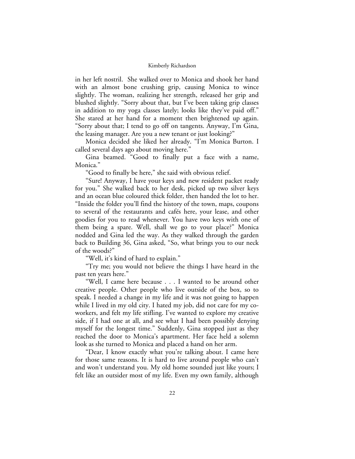in her left nostril. She walked over to Monica and shook her hand with an almost bone crushing grip, causing Monica to wince slightly. The woman, realizing her strength, released her grip and blushed slightly. "Sorry about that, but I've been taking grip classes in addition to my yoga classes lately; looks like they've paid off." She stared at her hand for a moment then brightened up again. "Sorry about that; I tend to go off on tangents. Anyway, I'm Gina, the leasing manager. Are you a new tenant or just looking?"

Monica decided she liked her already. "I'm Monica Burton. I called several days ago about moving here."

Gina beamed. "Good to finally put a face with a name, Monica."

"Good to finally be here," she said with obvious relief.

"Sure! Anyway, I have your keys and new resident packet ready for you." She walked back to her desk, picked up two silver keys and an ocean blue coloured thick folder, then handed the lot to her. "Inside the folder you'll find the history of the town, maps, coupons to several of the restaurants and cafés here, your lease, and other goodies for you to read whenever. You have two keys with one of them being a spare. Well, shall we go to your place?" Monica nodded and Gina led the way. As they walked through the garden back to Building 36, Gina asked, "So, what brings you to our neck of the woods?"

"Well, it's kind of hard to explain."

"Try me; you would not believe the things I have heard in the past ten years here."

"Well, I came here because . . . I wanted to be around other creative people. Other people who live outside of the box, so to speak. I needed a change in my life and it was not going to happen while I lived in my old city. I hated my job, did not care for my coworkers, and felt my life stifling. I've wanted to explore my creative side, if I had one at all, and see what I had been possibly denying myself for the longest time." Suddenly, Gina stopped just as they reached the door to Monica's apartment. Her face held a solemn look as she turned to Monica and placed a hand on her arm.

"Dear, I know exactly what you're talking about. I came here for those same reasons. It is hard to live around people who can't and won't understand you. My old home sounded just like yours; I felt like an outsider most of my life. Even my own family, although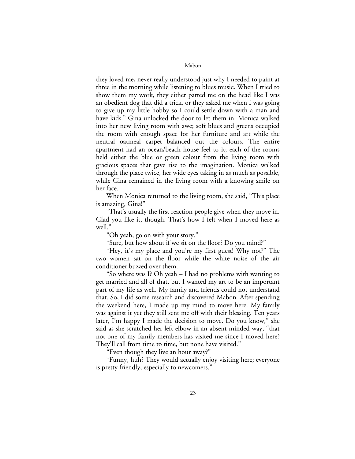they loved me, never really understood just why I needed to paint at three in the morning while listening to blues music. When I tried to show them my work, they either patted me on the head like I was an obedient dog that did a trick, or they asked me when I was going to give up my little hobby so I could settle down with a man and have kids." Gina unlocked the door to let them in. Monica walked into her new living room with awe; soft blues and greens occupied the room with enough space for her furniture and art while the neutral oatmeal carpet balanced out the colours. The entire apartment had an ocean/beach house feel to it; each of the rooms held either the blue or green colour from the living room with gracious spaces that gave rise to the imagination. Monica walked through the place twice, her wide eyes taking in as much as possible, while Gina remained in the living room with a knowing smile on her face.

When Monica returned to the living room, she said, "This place is amazing, Gina!"

"That's usually the first reaction people give when they move in. Glad you like it, though. That's how I felt when I moved here as well."

"Oh yeah, go on with your story."

"Sure, but how about if we sit on the floor? Do you mind?"

"Hey, it's my place and you're my first guest! Why not?" The two women sat on the floor while the white noise of the air conditioner buzzed over them.

"So where was I? Oh yeah – I had no problems with wanting to get married and all of that, but I wanted my art to be an important part of my life as well. My family and friends could not understand that. So, I did some research and discovered Mabon. After spending the weekend here, I made up my mind to move here. My family was against it yet they still sent me off with their blessing. Ten years later, I'm happy I made the decision to move. Do you know," she said as she scratched her left elbow in an absent minded way, "that not one of my family members has visited me since I moved here? They'll call from time to time, but none have visited."

"Even though they live an hour away?"

"Funny, huh? They would actually enjoy visiting here; everyone is pretty friendly, especially to newcomers."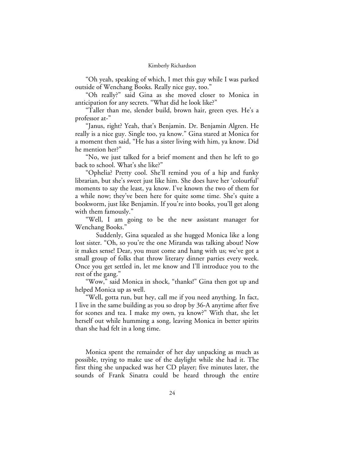"Oh yeah, speaking of which, I met this guy while I was parked outside of Wenchang Books. Really nice guy, too."

"Oh really?" said Gina as she moved closer to Monica in anticipation for any secrets. "What did he look like?"

"Taller than me, slender build, brown hair, green eyes. He's a professor at-"

"Janus, right? Yeah, that's Benjamin. Dr. Benjamin Algren. He really is a nice guy. Single too, ya know." Gina stared at Monica for a moment then said, "He has a sister living with him, ya know. Did he mention her?"

"No, we just talked for a brief moment and then he left to go back to school. What's she like?"

"Ophelia? Pretty cool. She'll remind you of a hip and funky librarian, but she's sweet just like him. She does have her 'colourful' moments to say the least, ya know. I've known the two of them for a while now; they've been here for quite some time. She's quite a bookworm, just like Benjamin. If you're into books, you'll get along with them famously."

"Well, I am going to be the new assistant manager for Wenchang Books."

Suddenly, Gina squealed as she hugged Monica like a long lost sister. "Oh, so you're the one Miranda was talking about! Now it makes sense! Dear, you must come and hang with us; we've got a small group of folks that throw literary dinner parties every week. Once you get settled in, let me know and I'll introduce you to the rest of the gang."

"Wow," said Monica in shock, "thanks!" Gina then got up and helped Monica up as well.

"Well, gotta run, but hey, call me if you need anything. In fact, I live in the same building as you so drop by 36-A anytime after five for scones and tea. I make my own, ya know?" With that, she let herself out while humming a song, leaving Monica in better spirits than she had felt in a long time.

Monica spent the remainder of her day unpacking as much as possible, trying to make use of the daylight while she had it. The first thing she unpacked was her CD player; five minutes later, the sounds of Frank Sinatra could be heard through the entire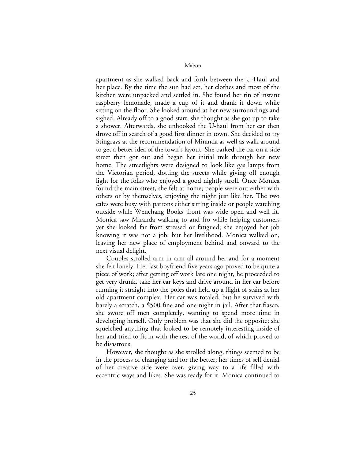apartment as she walked back and forth between the U-Haul and her place. By the time the sun had set, her clothes and most of the kitchen were unpacked and settled in. She found her tin of instant raspberry lemonade, made a cup of it and drank it down while sitting on the floor. She looked around at her new surroundings and sighed. Already off to a good start, she thought as she got up to take a shower. Afterwards, she unhooked the U-haul from her car then drove off in search of a good first dinner in town. She decided to try Stingrays at the recommendation of Miranda as well as walk around to get a better idea of the town's layout. She parked the car on a side street then got out and began her initial trek through her new home. The streetlights were designed to look like gas lamps from the Victorian period, dotting the streets while giving off enough light for the folks who enjoyed a good nightly stroll. Once Monica found the main street, she felt at home; people were out either with others or by themselves, enjoying the night just like her. The two cafes were busy with patrons either sitting inside or people watching outside while Wenchang Books' front was wide open and well lit. Monica saw Miranda walking to and fro while helping customers yet she looked far from stressed or fatigued; she enjoyed her job knowing it was not a job, but her livelihood. Monica walked on, leaving her new place of employment behind and onward to the next visual delight.

Couples strolled arm in arm all around her and for a moment she felt lonely. Her last boyfriend five years ago proved to be quite a piece of work; after getting off work late one night, he proceeded to get very drunk, take her car keys and drive around in her car before running it straight into the poles that held up a flight of stairs at her old apartment complex. Her car was totaled, but he survived with barely a scratch, a \$500 fine and one night in jail. After that fiasco, she swore off men completely, wanting to spend more time in developing herself. Only problem was that she did the opposite; she squelched anything that looked to be remotely interesting inside of her and tried to fit in with the rest of the world, of which proved to be disastrous.

However, she thought as she strolled along, things seemed to be in the process of changing and for the better; her times of self denial of her creative side were over, giving way to a life filled with eccentric ways and likes. She was ready for it. Monica continued to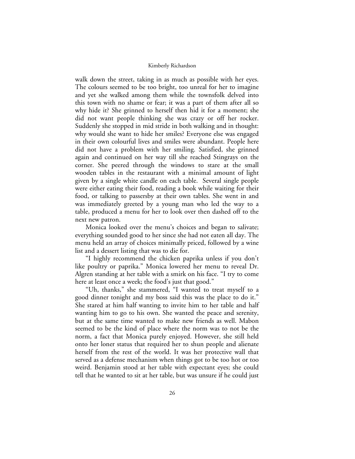walk down the street, taking in as much as possible with her eyes. The colours seemed to be too bright, too unreal for her to imagine and yet she walked among them while the townsfolk delved into this town with no shame or fear; it was a part of them after all so why hide it? She grinned to herself then hid it for a moment; she did not want people thinking she was crazy or off her rocker. Suddenly she stopped in mid stride in both walking and in thought: why would she want to hide her smiles? Everyone else was engaged in their own colourful lives and smiles were abundant. People here did not have a problem with her smiling. Satisfied, she grinned again and continued on her way till she reached Stingrays on the corner. She peered through the windows to stare at the small wooden tables in the restaurant with a minimal amount of light given by a single white candle on each table. Several single people were either eating their food, reading a book while waiting for their food, or talking to passersby at their own tables. She went in and was immediately greeted by a young man who led the way to a table, produced a menu for her to look over then dashed off to the next new patron.

Monica looked over the menu's choices and began to salivate; everything sounded good to her since she had not eaten all day. The menu held an array of choices minimally priced, followed by a wine list and a dessert listing that was to die for.

"I highly recommend the chicken paprika unless if you don't like poultry or paprika." Monica lowered her menu to reveal Dr. Algren standing at her table with a smirk on his face. "I try to come here at least once a week; the food's just that good."

"Uh, thanks," she stammered, "I wanted to treat myself to a good dinner tonight and my boss said this was the place to do it." She stared at him half wanting to invite him to her table and half wanting him to go to his own. She wanted the peace and serenity, but at the same time wanted to make new friends as well. Mabon seemed to be the kind of place where the norm was to not be the norm, a fact that Monica purely enjoyed. However, she still held onto her loner status that required her to shun people and alienate herself from the rest of the world. It was her protective wall that served as a defense mechanism when things got to be too hot or too weird. Benjamin stood at her table with expectant eyes; she could tell that he wanted to sit at her table, but was unsure if he could just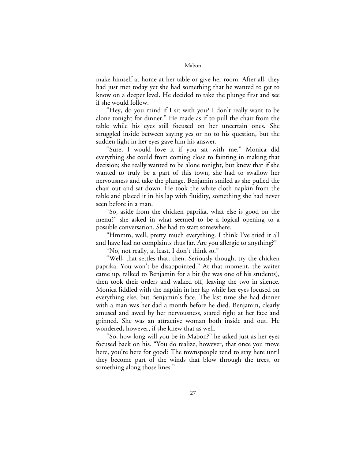make himself at home at her table or give her room. After all, they had just met today yet she had something that he wanted to get to know on a deeper level. He decided to take the plunge first and see if she would follow.

"Hey, do you mind if I sit with you? I don't really want to be alone tonight for dinner." He made as if to pull the chair from the table while his eyes still focused on her uncertain ones. She struggled inside between saying yes or no to his question, but the sudden light in her eyes gave him his answer.

"Sure, I would love it if you sat with me." Monica did everything she could from coming close to fainting in making that decision; she really wanted to be alone tonight, but knew that if she wanted to truly be a part of this town, she had to swallow her nervousness and take the plunge. Benjamin smiled as she pulled the chair out and sat down. He took the white cloth napkin from the table and placed it in his lap with fluidity, something she had never seen before in a man.

"So, aside from the chicken paprika, what else is good on the menu?" she asked in what seemed to be a logical opening to a possible conversation. She had to start somewhere.

"Hmmm, well, pretty much everything. I think I've tried it all and have had no complaints thus far. Are you allergic to anything?"

"No, not really, at least, I don't think so."

"Well, that settles that, then. Seriously though, try the chicken paprika. You won't be disappointed." At that moment, the waiter came up, talked to Benjamin for a bit (he was one of his students), then took their orders and walked off, leaving the two in silence. Monica fiddled with the napkin in her lap while her eyes focused on everything else, but Benjamin's face. The last time she had dinner with a man was her dad a month before he died. Benjamin, clearly amused and awed by her nervousness, stared right at her face and grinned. She was an attractive woman both inside and out. He wondered, however, if she knew that as well.

"So, how long will you be in Mabon?" he asked just as her eyes focused back on his. "You do realize, however, that once you move here, you're here for good? The townspeople tend to stay here until they become part of the winds that blow through the trees, or something along those lines."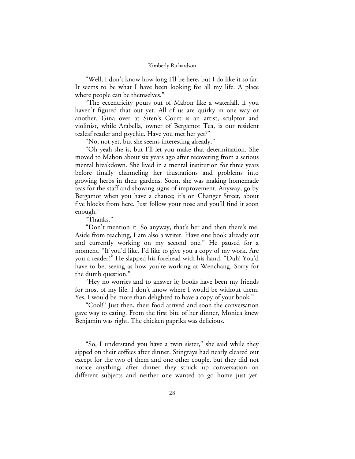"Well, I don't know how long I'll be here, but I do like it so far. It seems to be what I have been looking for all my life. A place where people can be themselves."

"The eccentricity pours out of Mabon like a waterfall, if you haven't figured that out yet. All of us are quirky in one way or another. Gina over at Siren's Court is an artist, sculptor and violinist, while Arabella, owner of Bergamot Tea, is our resident tealeaf reader and psychic. Have you met her yet?"

"No, not yet, but she seems interesting already."

"Oh yeah she is, but I'll let you make that determination. She moved to Mabon about six years ago after recovering from a serious mental breakdown. She lived in a mental institution for three years before finally channeling her frustrations and problems into growing herbs in their gardens. Soon, she was making homemade teas for the staff and showing signs of improvement. Anyway, go by Bergamot when you have a chance; it's on Changer Street, about five blocks from here. Just follow your nose and you'll find it soon enough."

"Thanks."

"Don't mention it. So anyway, that's her and then there's me. Aside from teaching, I am also a writer. Have one book already out and currently working on my second one." He paused for a moment. "If you'd like, I'd like to give you a copy of my work. Are you a reader?" He slapped his forehead with his hand. "Duh! You'd have to be, seeing as how you're working at Wenchang. Sorry for the dumb question."

"Hey no worries and to answer it; books have been my friends for most of my life. I don't know where I would be without them. Yes, I would be more than delighted to have a copy of your book."

"Cool!" Just then, their food arrived and soon the conversation gave way to eating. From the first bite of her dinner, Monica knew Benjamin was right. The chicken paprika was delicious.

"So, I understand you have a twin sister," she said while they sipped on their coffees after dinner. Stingrays had nearly cleared out except for the two of them and one other couple, but they did not notice anything; after dinner they struck up conversation on different subjects and neither one wanted to go home just yet.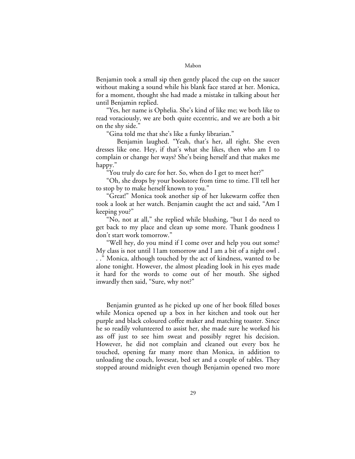Benjamin took a small sip then gently placed the cup on the saucer without making a sound while his blank face stared at her. Monica, for a moment, thought she had made a mistake in talking about her until Benjamin replied.

"Yes, her name is Ophelia. She's kind of like me; we both like to read voraciously, we are both quite eccentric, and we are both a bit on the shy side."

"Gina told me that she's like a funky librarian."

Benjamin laughed. "Yeah, that's her, all right. She even dresses like one. Hey, if that's what she likes, then who am I to complain or change her ways? She's being herself and that makes me happy."

"You truly do care for her. So, when do I get to meet her?"

"Oh, she drops by your bookstore from time to time. I'll tell her to stop by to make herself known to you."

"Great!" Monica took another sip of her lukewarm coffee then took a look at her watch. Benjamin caught the act and said, "Am I keeping you?"

"No, not at all," she replied while blushing, "but I do need to get back to my place and clean up some more. Thank goodness I don't start work tomorrow."

"Well hey, do you mind if I come over and help you out some? My class is not until 11am tomorrow and I am a bit of a night owl . . ." Monica, although touched by the act of kindness, wanted to be alone tonight. However, the almost pleading look in his eyes made it hard for the words to come out of her mouth. She sighed inwardly then said, "Sure, why not?"

Benjamin grunted as he picked up one of her book filled boxes while Monica opened up a box in her kitchen and took out her purple and black coloured coffee maker and matching toaster. Since he so readily volunteered to assist her, she made sure he worked his ass off just to see him sweat and possibly regret his decision. However, he did not complain and cleaned out every box he touched, opening far many more than Monica, in addition to unloading the couch, loveseat, bed set and a couple of tables. They stopped around midnight even though Benjamin opened two more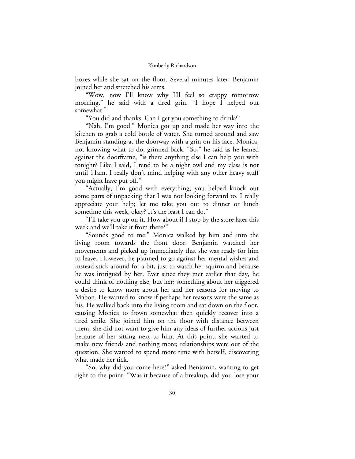boxes while she sat on the floor. Several minutes later, Benjamin joined her and stretched his arms.

"Wow, now I'll know why I'll feel so crappy tomorrow morning," he said with a tired grin. "I hope I helped out somewhat."

"You did and thanks. Can I get you something to drink?"

"Nah, I'm good." Monica got up and made her way into the kitchen to grab a cold bottle of water. She turned around and saw Benjamin standing at the doorway with a grin on his face. Monica, not knowing what to do, grinned back. "So," he said as he leaned against the doorframe, "is there anything else I can help you with tonight? Like I said, I tend to be a night owl and my class is not until 11am. I really don't mind helping with any other heavy stuff you might have put off."

"Actually, I'm good with everything; you helped knock out some parts of unpacking that I was not looking forward to. I really appreciate your help; let me take you out to dinner or lunch sometime this week, okay? It's the least I can do."

"I'll take you up on it. How about if I stop by the store later this week and we'll take it from there?"

"Sounds good to me." Monica walked by him and into the living room towards the front door. Benjamin watched her movements and picked up immediately that she was ready for him to leave. However, he planned to go against her mental wishes and instead stick around for a bit, just to watch her squirm and because he was intrigued by her. Ever since they met earlier that day, he could think of nothing else, but her; something about her triggered a desire to know more about her and her reasons for moving to Mabon. He wanted to know if perhaps her reasons were the same as his. He walked back into the living room and sat down on the floor, causing Monica to frown somewhat then quickly recover into a tired smile. She joined him on the floor with distance between them; she did not want to give him any ideas of further actions just because of her sitting next to him. At this point, she wanted to make new friends and nothing more; relationships were out of the question. She wanted to spend more time with herself, discovering what made her tick.

"So, why did you come here?" asked Benjamin, wanting to get right to the point. "Was it because of a breakup, did you lose your